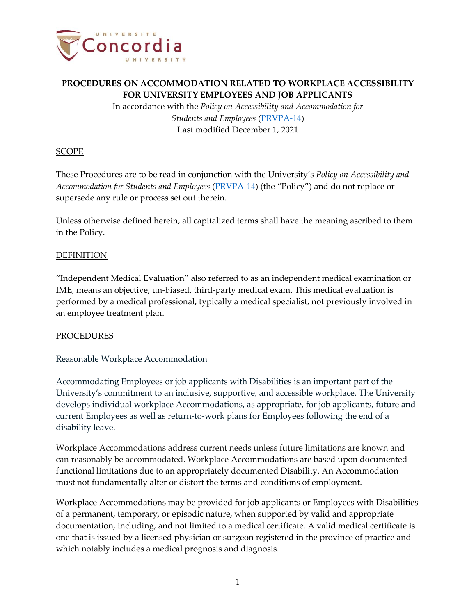

In accordance with the *Policy on Accessibility and Accommodation for Students and Employees* [\(PRVPA-14\)](https://www.concordia.ca/content/dam/common/docs/policies/official-policies/PRVPA-14.pdf) Last modified December 1, 2021

### **SCOPE**

These Procedures are to be read in conjunction with the University's *Policy on Accessibility and Accommodation for Students and Employees* (*PRVPA-14*) (the "Policy") and do not replace or supersede any rule or process set out therein.

Unless otherwise defined herein, all capitalized terms shall have the meaning ascribed to them in the Policy.

### DEFINITION

"Independent Medical Evaluation" also referred to as an independent medical examination or IME, means an objective, un-biased, third-party medical exam. This medical evaluation is performed by a medical professional, typically a medical specialist, not previously involved in an employee treatment plan.

#### PROCEDURES

### Reasonable Workplace Accommodation

Accommodating Employees or job applicants with Disabilities is an important part of the University's commitment to an inclusive, supportive, and accessible workplace. The University develops individual workplace Accommodations, as appropriate, for job applicants, future and current Employees as well as return-to-work plans for Employees following the end of a disability leave.

Workplace Accommodations address current needs unless future limitations are known and can reasonably be accommodated. Workplace Accommodations are based upon documented functional limitations due to an appropriately documented Disability. An Accommodation must not fundamentally alter or distort the terms and conditions of employment.

Workplace Accommodations may be provided for job applicants or Employees with Disabilities of a permanent, temporary, or episodic nature, when supported by valid and appropriate documentation, including, and not limited to a medical certificate. A valid medical certificate is one that is issued by a licensed physician or surgeon registered in the province of practice and which notably includes a medical prognosis and diagnosis.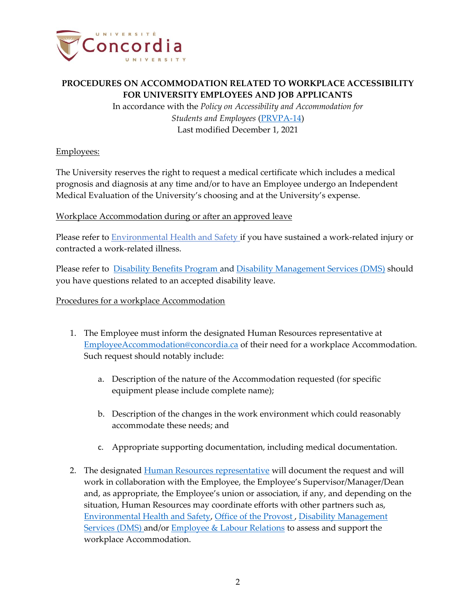

In accordance with the *Policy on Accessibility and Accommodation for Students and Employees* [\(PRVPA-14\)](https://www.concordia.ca/content/dam/common/docs/policies/official-policies/PRVPA-14.pdf) Last modified December 1, 2021

### Employees:

The University reserves the right to request a medical certificate which includes a medical prognosis and diagnosis at any time and/or to have an Employee undergo an Independent Medical Evaluation of the University's choosing and at the University's expense.

### Workplace Accommodation during or after an approved leave

Please refer to **Environmental Health and Safety if you have sustained a work-related injury or** contracted a work-related illness.

Please refer to [Disability Benefits Program](https://cspace.concordia.ca/services/hr/benefits/disability.html) and [Disability Management Services \(DMS\)](https://www.concordia.ca/hr/contact.html) should you have questions related to an accepted disability leave.

### Procedures for a workplace Accommodation

- 1. The Employee must inform the designated Human Resources representative at [EmployeeAccommodation@concordia.ca](mailto:EmployeeAccommodation@concordia.ca) of their need for a workplace Accommodation. Such request should notably include:
	- a. Description of the nature of the Accommodation requested (for specific equipment please include complete name);
	- b. Description of the changes in the work environment which could reasonably accommodate these needs; and
	- c. Appropriate supporting documentation, including medical documentation.
- 2. The designated [Human Resources representative](mailto:EmployeeAccommodation@concordia.ca) will document the request and will work in collaboration with the Employee, the Employee's Supervisor/Manager/Dean and, as appropriate, the Employee's union or association, if any, and depending on the situation, Human Resources may coordinate efforts with other partners such as, [Environmental Health and Safety,](https://www.concordia.ca/campus-life/safety.html) [Office of the Provost](https://https/cspace.concordia.ca/about/governance/provost/contact.htmlcspace.concordia.ca/about/governance/provost/contact.html) , [Disability Management](mailto:medicalabsence@concordia.ca)  [Services \(DMS\)](mailto:medicalabsence@concordia.ca) and/or **Employee & Labour Relations** to assess and support the workplace Accommodation.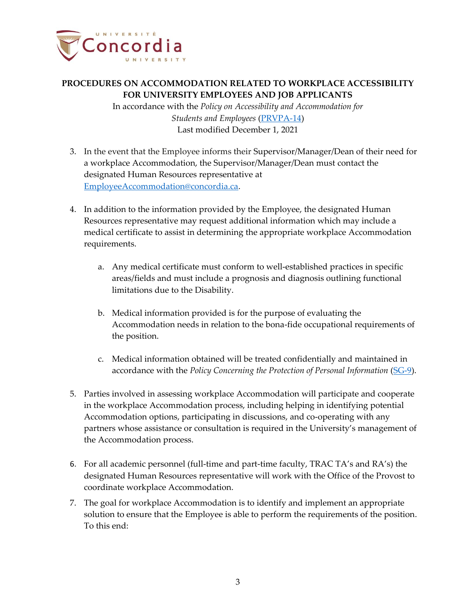

In accordance with the *Policy on Accessibility and Accommodation for Students and Employees* [\(PRVPA-14\)](https://www.concordia.ca/content/dam/common/docs/policies/official-policies/PRVPA-14.pdf) Last modified December 1, 2021

- 3. In the event that the Employee informs their Supervisor/Manager/Dean of their need for a workplace Accommodation, the Supervisor/Manager/Dean must contact the designated Human Resources representative at [EmployeeAccommodation@concordia.ca.](mailto:EmployeeAccommodation@concordia.ca)
- 4. In addition to the information provided by the Employee, the designated Human Resources representative may request additional information which may include a medical certificate to assist in determining the appropriate workplace Accommodation requirements.
	- a. Any medical certificate must conform to well-established practices in specific areas/fields and must include a prognosis and diagnosis outlining functional limitations due to the Disability.
	- b. Medical information provided is for the purpose of evaluating the Accommodation needs in relation to the bona-fide occupational requirements of the position.
	- c. Medical information obtained will be treated confidentially and maintained in accordance with the *Policy Concerning the Protection of Personal Information* [\(SG-9\)](https://www.concordia.ca/content/dam/common/docs/policies/official-policies/SG-9.pdf).
- 5. Parties involved in assessing workplace Accommodation will participate and cooperate in the workplace Accommodation process, including helping in identifying potential Accommodation options, participating in discussions, and co-operating with any partners whose assistance or consultation is required in the University's management of the Accommodation process.
- 6. For all academic personnel (full-time and part-time faculty, TRAC TA's and RA's) the designated Human Resources representative will work with the Office of the Provost to coordinate workplace Accommodation.
- 7. The goal for workplace Accommodation is to identify and implement an appropriate solution to ensure that the Employee is able to perform the requirements of the position. To this end: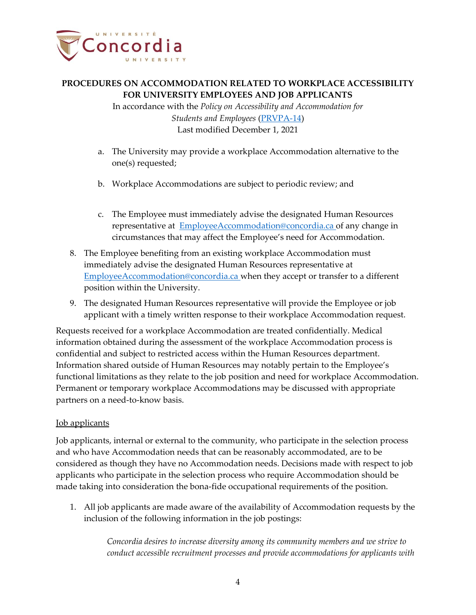

In accordance with the *Policy on Accessibility and Accommodation for Students and Employees* [\(PRVPA-14\)](https://www.concordia.ca/content/dam/common/docs/policies/official-policies/PRVPA-14.pdf) Last modified December 1, 2021

- a. The University may provide a workplace Accommodation alternative to the one(s) requested;
- b. Workplace Accommodations are subject to periodic review; and
- c. The Employee must immediately advise the designated Human Resources representative at [EmployeeAccommodation@concordia.ca](mailto:EmployeeAccommodation@concordia.ca) of any change in circumstances that may affect the Employee's need for Accommodation.
- 8. The Employee benefiting from an existing workplace Accommodation must immediately advise the designated Human Resources representative at [EmployeeAccommodation@concordia.ca](mailto:EmployeeAccommodation@concordia.ca) when they accept or transfer to a different position within the University.
- 9. The designated Human Resources representative will provide the Employee or job applicant with a timely written response to their workplace Accommodation request.

Requests received for a workplace Accommodation are treated confidentially. Medical information obtained during the assessment of the workplace Accommodation process is confidential and subject to restricted access within the Human Resources department. Information shared outside of Human Resources may notably pertain to the Employee's functional limitations as they relate to the job position and need for workplace Accommodation. Permanent or temporary workplace Accommodations may be discussed with appropriate partners on a need-to-know basis.

### Job applicants

Job applicants, internal or external to the community, who participate in the selection process and who have Accommodation needs that can be reasonably accommodated, are to be considered as though they have no Accommodation needs. Decisions made with respect to job applicants who participate in the selection process who require Accommodation should be made taking into consideration the bona-fide occupational requirements of the position.

1. All job applicants are made aware of the availability of Accommodation requests by the inclusion of the following information in the job postings:

> *Concordia desires to increase diversity among its community members and we strive to conduct accessible recruitment processes and provide accommodations for applicants with*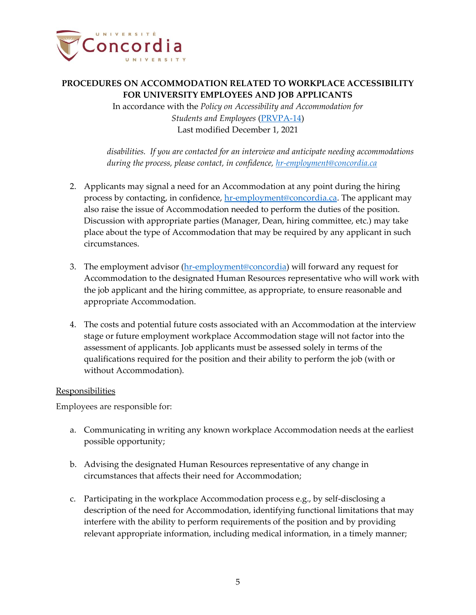

In accordance with the *Policy on Accessibility and Accommodation for Students and Employees* [\(PRVPA-14\)](https://www.concordia.ca/content/dam/common/docs/policies/official-policies/PRVPA-14.pdf) Last modified December 1, 2021

*disabilities. If you are contacted for an interview and anticipate needing accommodations during the process, please contact, in confidence, [hr-employment@concordia.ca](mailto:hr-employment@concordia.ca)*

- 2. Applicants may signal a need for an Accommodation at any point during the hiring process by contacting, in confidence, [hr-employment@concordia.ca.](mailto:hr-employment@concordia.ca) The applicant may also raise the issue of Accommodation needed to perform the duties of the position. Discussion with appropriate parties (Manager, Dean, hiring committee, etc.) may take place about the type of Accommodation that may be required by any applicant in such circumstances.
- 3. The employment advisor (hr-employment@concordia) will forward any request for Accommodation to the designated Human Resources representative who will work with the job applicant and the hiring committee, as appropriate, to ensure reasonable and appropriate Accommodation.
- 4. The costs and potential future costs associated with an Accommodation at the interview stage or future employment workplace Accommodation stage will not factor into the assessment of applicants. Job applicants must be assessed solely in terms of the qualifications required for the position and their ability to perform the job (with or without Accommodation).

#### **Responsibilities**

Employees are responsible for:

- a. Communicating in writing any known workplace Accommodation needs at the earliest possible opportunity;
- b. Advising the designated Human Resources representative of any change in circumstances that affects their need for Accommodation;
- c. Participating in the workplace Accommodation process e.g., by self-disclosing a description of the need for Accommodation, identifying functional limitations that may interfere with the ability to perform requirements of the position and by providing relevant appropriate information, including medical information, in a timely manner;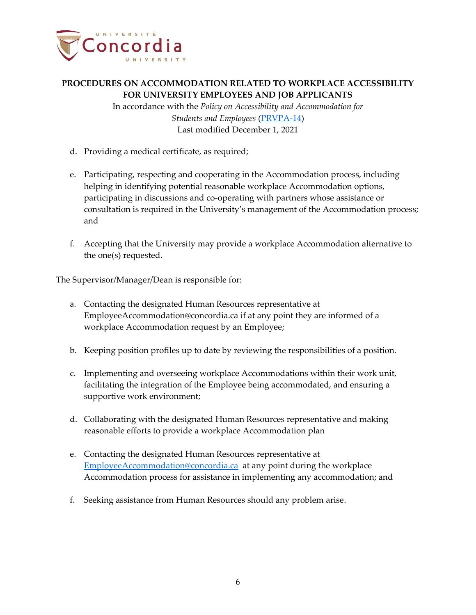

In accordance with the *Policy on Accessibility and Accommodation for Students and Employees* [\(PRVPA-14\)](https://www.concordia.ca/content/dam/common/docs/policies/official-policies/PRVPA-14.pdf) Last modified December 1, 2021

- d. Providing a medical certificate, as required;
- e. Participating, respecting and cooperating in the Accommodation process, including helping in identifying potential reasonable workplace Accommodation options, participating in discussions and co-operating with partners whose assistance or consultation is required in the University's management of the Accommodation process; and
- f. Accepting that the University may provide a workplace Accommodation alternative to the one(s) requested.

The Supervisor/Manager/Dean is responsible for:

- a. Contacting the designated Human Resources representative at [EmployeeAccommodation@concordia.ca](mailto:EmployeeAccommodation@concordia.ca) if at any point they are informed of a workplace Accommodation request by an Employee;
- b. Keeping position profiles up to date by reviewing the responsibilities of a position.
- c. Implementing and overseeing workplace Accommodations within their work unit, facilitating the integration of the Employee being accommodated, and ensuring a supportive work environment;
- d. Collaborating with the designated Human Resources representative and making reasonable efforts to provide a workplace Accommodation plan
- e. Contacting the designated Human Resources representative at [EmployeeAccommodation@concordia.ca](mailto:EmployeeAccommodation@concordia.ca) at any point during the workplace Accommodation process for assistance in implementing any accommodation; and
- f. Seeking assistance from Human Resources should any problem arise.